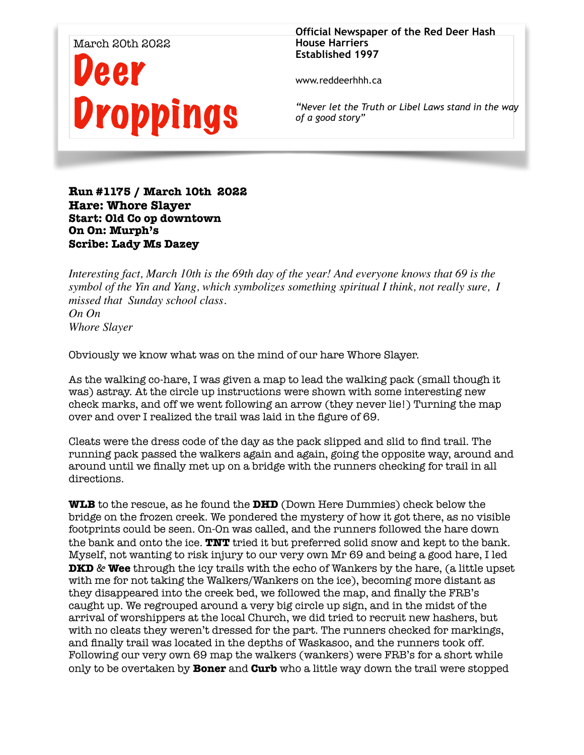

**Official Newspaper of the Red Deer Hash House Harriers Established 1997** 

www.reddeerhhh.ca

*"Never let the Truth or Libel Laws stand in the way of a good story"*

**Run #1175 / March 10th 2022 Hare: Whore Slayer Start: Old Co op downtown On On: Murph's Scribe: Lady Ms Dazey**

*Interesting fact, March 10th is the 69th day of the year! And everyone knows that 69 is the symbol of the Yin and Yang, which symbolizes something spiritual I think, not really sure, I missed that Sunday school class. On On Whore Slayer*

Obviously we know what was on the mind of our hare Whore Slayer.

As the walking co-hare, I was given a map to lead the walking pack (small though it was) astray. At the circle up instructions were shown with some interesting new check marks, and off we went following an arrow (they never lie!) Turning the map over and over I realized the trail was laid in the figure of 69.

Cleats were the dress code of the day as the pack slipped and slid to find trail. The running pack passed the walkers again and again, going the opposite way, around and around until we finally met up on a bridge with the runners checking for trail in all directions.

**WLB** to the rescue, as he found the **DHD** (Down Here Dummies) check below the bridge on the frozen creek. We pondered the mystery of how it got there, as no visible footprints could be seen. On-On was called, and the runners followed the hare down the bank and onto the ice. **TNT** tried it but preferred solid snow and kept to the bank. Myself, not wanting to risk injury to our very own Mr 69 and being a good hare, I led **DKD** & **Wee** through the icy trails with the echo of Wankers by the hare, (a little upset with me for not taking the Walkers/Wankers on the ice), becoming more distant as they disappeared into the creek bed, we followed the map, and finally the FRB's caught up. We regrouped around a very big circle up sign, and in the midst of the arrival of worshippers at the local Church, we did tried to recruit new hashers, but with no cleats they weren't dressed for the part. The runners checked for markings, and finally trail was located in the depths of Waskasoo, and the runners took off. Following our very own 69 map the walkers (wankers) were FRB's for a short while only to be overtaken by **Boner** and **Curb** who a little way down the trail were stopped